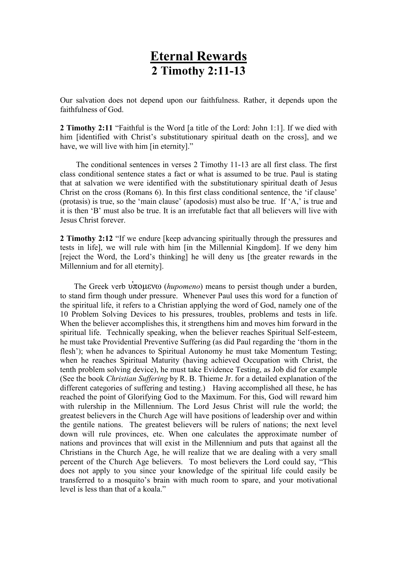## Eternal Rewards 2 Timothy 2:11-13

Our salvation does not depend upon our faithfulness. Rather, it depends upon the faithfulness of God.

2 Timothy 2:11 "Faithful is the Word [a title of the Lord: John 1:1]. If we died with him [identified with Christ's substitutionary spiritual death on the cross], and we have, we will live with him [in eternity]."

 The conditional sentences in verses 2 Timothy 11-13 are all first class. The first class conditional sentence states a fact or what is assumed to be true. Paul is stating that at salvation we were identified with the substitutionary spiritual death of Jesus Christ on the cross (Romans 6). In this first class conditional sentence, the 'if clause' (protasis) is true, so the 'main clause' (apodosis) must also be true. If 'A,' is true and it is then 'B' must also be true. It is an irrefutable fact that all believers will live with Jesus Christ forever.

2 Timothy 2:12 "If we endure [keep advancing spiritually through the pressures and tests in life], we will rule with him [in the Millennial Kingdom]. If we deny him [reject the Word, the Lord's thinking] he will deny us [the greater rewards in the Millennium and for all eternity].

The Greek verb  $\hat{v}$ πομενω (*hupomeno*) means to persist though under a burden, to stand firm though under pressure. Whenever Paul uses this word for a function of the spiritual life, it refers to a Christian applying the word of God, namely one of the 10 Problem Solving Devices to his pressures, troubles, problems and tests in life. When the believer accomplishes this, it strengthens him and moves him forward in the spiritual life. Technically speaking, when the believer reaches Spiritual Self-esteem, he must take Providential Preventive Suffering (as did Paul regarding the 'thorn in the flesh'); when he advances to Spiritual Autonomy he must take Momentum Testing; when he reaches Spiritual Maturity (having achieved Occupation with Christ, the tenth problem solving device), he must take Evidence Testing, as Job did for example (See the book Christian Suffering by R. B. Thieme Jr. for a detailed explanation of the different categories of suffering and testing.) Having accomplished all these, he has reached the point of Glorifying God to the Maximum. For this, God will reward him with rulership in the Millennium. The Lord Jesus Christ will rule the world; the greatest believers in the Church Age will have positions of leadership over and within the gentile nations. The greatest believers will be rulers of nations; the next level down will rule provinces, etc. When one calculates the approximate number of nations and provinces that will exist in the Millennium and puts that against all the Christians in the Church Age, he will realize that we are dealing with a very small percent of the Church Age believers. To most believers the Lord could say, "This does not apply to you since your knowledge of the spiritual life could easily be transferred to a mosquito's brain with much room to spare, and your motivational level is less than that of a koala."